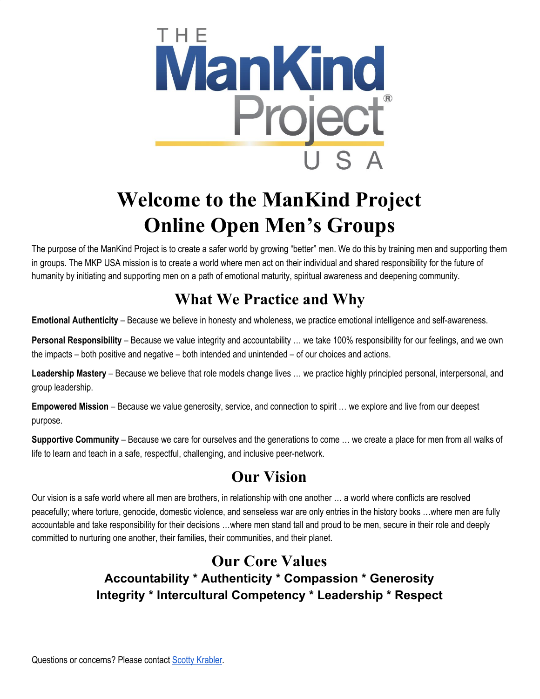

# **Welcome to the ManKind Project Online Open Men's Groups**

The purpose of the ManKind Project is to create a safer world by growing "better" men. We do this by training men and supporting them in groups. The MKP USA mission is to create a world where men act on their individual and shared responsibility for the future of humanity by initiating and supporting men on a path of emotional maturity, spiritual awareness and deepening community.

## **What We Practice and Why**

**Emotional Authenticity** – Because we believe in honesty and wholeness, we practice emotional intelligence and self-awareness.

**Personal Responsibility** – Because we value integrity and accountability … we take 100% responsibility for our feelings, and we own the impacts – both positive and negative – both intended and unintended – of our choices and actions.

**Leadership Mastery** – Because we believe that role models change lives … we practice highly principled personal, interpersonal, and group leadership.

**Empowered Mission** – Because we value generosity, service, and connection to spirit … we explore and live from our deepest purpose.

**Supportive Community** – Because we care for ourselves and the generations to come … we create a place for men from all walks of life to learn and teach in a safe, respectful, challenging, and inclusive peer-network.

# **Our Vision**

Our vision is a safe world where all men are brothers, in relationship with one another … a world where conflicts are resolved peacefully; where torture, genocide, domestic violence, and senseless war are only entries in the history books …where men are fully accountable and take responsibility for their decisions …where men stand tall and proud to be men, secure in their role and deeply committed to nurturing one another, their families, their communities, and their planet.

#### **Our Core Values Accountability \* Authenticity \* Compassion \* Generosity Integrity \* Intercultural Competency \* Leadership \* Respect**